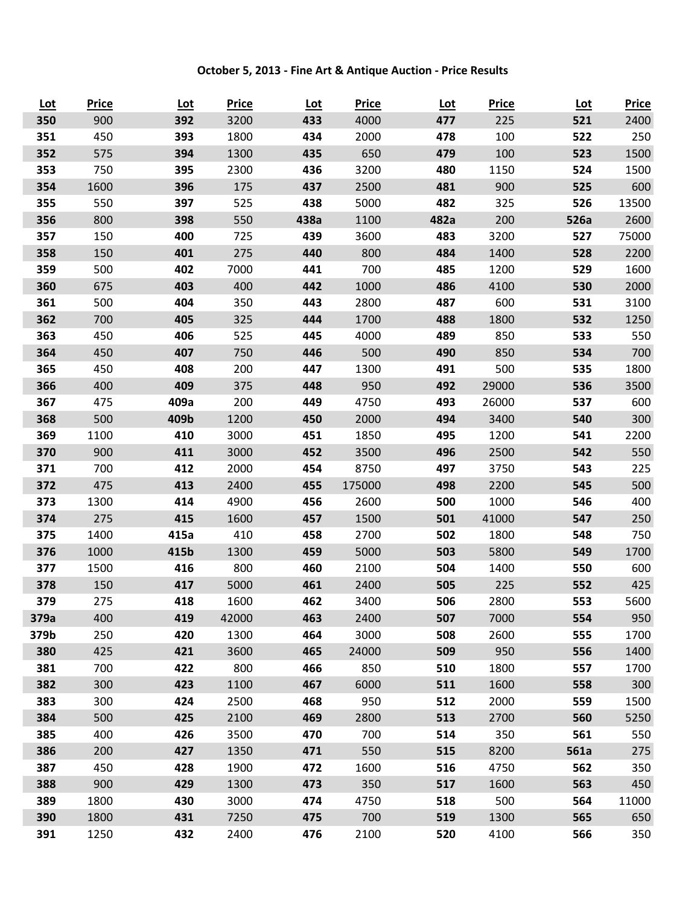## **October 5, 2013 - Fine Art & Antique Auction - Price Results**

| <u>Lot</u> | <b>Price</b> | <u>Lot</u> | <b>Price</b> | <u>Lot</u> | <b>Price</b> | <u>Lot</u> | <b>Price</b> | <u>Lot</u> | <b>Price</b> |
|------------|--------------|------------|--------------|------------|--------------|------------|--------------|------------|--------------|
| 350        | 900          | 392        | 3200         | 433        | 4000         | 477        | 225          | 521        | 2400         |
| 351        | 450          | 393        | 1800         | 434        | 2000         | 478        | 100          | 522        | 250          |
| 352        | 575          | 394        | 1300         | 435        | 650          | 479        | 100          | 523        | 1500         |
| 353        | 750          | 395        | 2300         | 436        | 3200         | 480        | 1150         | 524        | 1500         |
| 354        | 1600         | 396        | 175          | 437        | 2500         | 481        | 900          | 525        | 600          |
| 355        | 550          | 397        | 525          | 438        | 5000         | 482        | 325          | 526        | 13500        |
| 356        | 800          | 398        | 550          | 438a       | 1100         | 482a       | 200          | 526a       | 2600         |
| 357        | 150          | 400        | 725          | 439        | 3600         | 483        | 3200         | 527        | 75000        |
| 358        | 150          | 401        | 275          | 440        | 800          | 484        | 1400         | 528        | 2200         |
| 359        | 500          | 402        | 7000         | 441        | 700          | 485        | 1200         | 529        | 1600         |
| 360        | 675          | 403        | 400          | 442        | 1000         | 486        | 4100         | 530        | 2000         |
| 361        | 500          | 404        | 350          | 443        | 2800         | 487        | 600          | 531        | 3100         |
| 362        | 700          | 405        | 325          | 444        | 1700         | 488        | 1800         | 532        | 1250         |
| 363        | 450          | 406        | 525          | 445        | 4000         | 489        | 850          | 533        | 550          |
| 364        | 450          | 407        | 750          | 446        | 500          | 490        | 850          | 534        | 700          |
| 365        | 450          | 408        | 200          | 447        | 1300         | 491        | 500          | 535        | 1800         |
| 366        | 400          | 409        | 375          | 448        | 950          | 492        | 29000        | 536        | 3500         |
| 367        | 475          | 409a       | 200          | 449        | 4750         | 493        | 26000        | 537        | 600          |
| 368        | 500          | 409b       | 1200         | 450        | 2000         | 494        | 3400         | 540        | 300          |
| 369        | 1100         | 410        | 3000         | 451        | 1850         | 495        | 1200         | 541        | 2200         |
| 370        | 900          | 411        | 3000         | 452        | 3500         | 496        | 2500         | 542        | 550          |
| 371        | 700          | 412        | 2000         | 454        | 8750         | 497        | 3750         | 543        | 225          |
| 372        | 475          | 413        | 2400         | 455        | 175000       | 498        | 2200         | 545        | 500          |
| 373        | 1300         | 414        | 4900         | 456        | 2600         | 500        | 1000         | 546        | 400          |
| 374        | 275          | 415        | 1600         | 457        | 1500         | 501        | 41000        | 547        | 250          |
| 375        | 1400         | 415a       | 410          | 458        | 2700         | 502        | 1800         | 548        | 750          |
| 376        | 1000         | 415b       | 1300         | 459        | 5000         | 503        | 5800         | 549        | 1700         |
| 377        | 1500         | 416        | 800          | 460        | 2100         | 504        | 1400         | 550        | 600          |
| 378        | 150          | 417        | 5000         | 461        | 2400         | 505        | 225          | 552        | 425          |
| 379        | 275          | 418        | 1600         | 462        | 3400         | 506        | 2800         | 553        | 5600         |
| 379a       | 400          | 419        | 42000        | 463        | 2400         | 507        | 7000         | 554        | 950          |
| 379b       | 250          | 420        | 1300         | 464        | 3000         | 508        | 2600         | 555        | 1700         |
| 380        | 425          | 421        | 3600         | 465        | 24000        | 509        | 950          | 556        | 1400         |
| 381        | 700          | 422        | 800          | 466        | 850          | 510        | 1800         | 557        | 1700         |
| 382        | 300          | 423        | 1100         | 467        | 6000         | 511        | 1600         | 558        | 300          |
| 383        | 300          | 424        | 2500         | 468        | 950          | 512        | 2000         | 559        | 1500         |
| 384        | 500          | 425        | 2100         | 469        | 2800         | 513        | 2700         | 560        | 5250         |
| 385        | 400          | 426        | 3500         | 470        | 700          | 514        | 350          | 561        | 550          |
| 386        | 200          | 427        | 1350         | 471        | 550          | 515        | 8200         | 561a       | 275          |
| 387        | 450          | 428        | 1900         | 472        | 1600         | 516        | 4750         | 562        | 350          |
| 388        | 900          | 429        | 1300         | 473        | 350          | 517        | 1600         | 563        | 450          |
| 389        | 1800         | 430        | 3000         | 474        | 4750         | 518        | 500          | 564        | 11000        |
| 390        | 1800         | 431        | 7250         | 475        | 700          | 519        | 1300         | 565        | 650          |
| 391        | 1250         | 432        | 2400         | 476        | 2100         | 520        | 4100         | 566        | 350          |